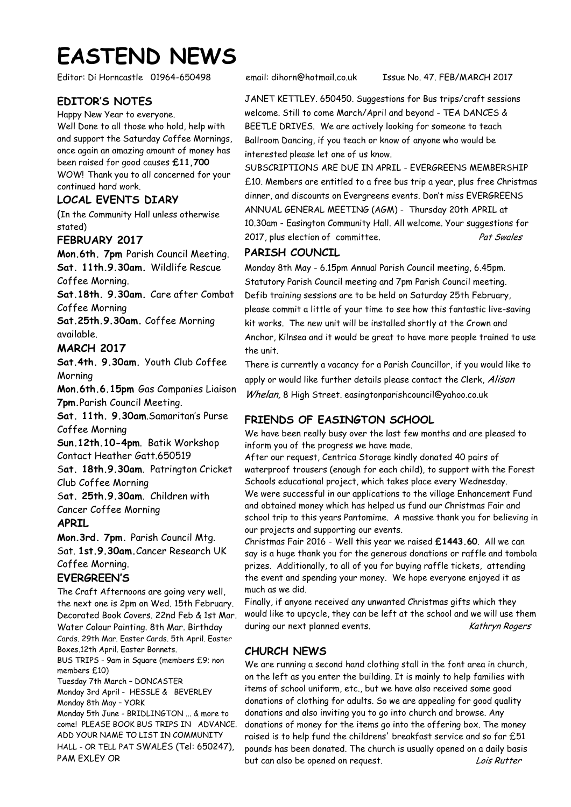# **EASTEND NEWS**

Editor: Di Horncastle 01964-650498 email: dihorn@hotmail.co.uk Issue No. 47. FEB/MARCH 2017

## **EDITOR'S NOTES**

Happy New Year to everyone. Well Done to all those who hold, help with and support the Saturday Coffee Mornings, once again an amazing amount of money has been raised for good causes **£11,700**  WOW! Thank you to all concerned for your continued hard work.

#### **LOCAL EVENTS DIARY**

(In the Community Hall unless otherwise stated)

#### **FEBRUARY 2017**

**Mon.6th. 7pm** Parish Council Meeting. **Sat. 11th.9.30am.** Wildlife Rescue Coffee Morning.

**Sat.18th. 9.30am.** Care after Combat Coffee Morning

**Sat.25th.9.30am.** Coffee Morning available.

## **MARCH 2017**

**Sat.4th. 9.30am.** Youth Club Coffee **Morning** 

**Mon.6th.6.15pm** Gas Companies Liaison **7pm.**Parish Council Meeting.

**Sat. 11th. 9.30am**.Samaritan's Purse Coffee Morning

**Sun.12th.10-4pm**. Batik Workshop Contact Heather Gatt.650519

S**at. 18th.9.30am**. Patrington Cricket Club Coffee Morning

S**at. 25th.9.30am**. Children with

Cancer Coffee Morning

## **APRIL**

**Mon.3rd. 7pm.** Parish Council Mtg. Sat. **1st.9.30am.**Cancer Research UK Coffee Morning.

## **EVERGREEN'S**

The Craft Afternoons are going very well, the next one is 2pm on Wed. 15th February. Decorated Book Covers. 22nd Feb & 1st Mar. Water Colour Painting. 8th Mar. Birthday Cards. 29th Mar. Easter Cards. 5th April. Easter Boxes.12th April. Easter Bonnets. BUS TRIPS - 9am in Square (members £9; non members £10) Tuesday 7th March – DONCASTER Monday 3rd April - HESSLE & BEVERLEY Monday 8th May – YORK Monday 5th June - BRIDLINGTON ... & more to come! PLEASE BOOK BUS TRIPS IN ADVANCE. ADD YOUR NAME TO LIST IN COMMUNITY HALL - OR TELL PAT SWALES (Tel: 650247), PAM EXLEY OR

JANET KETTLEY. 650450. Suggestions for Bus trips/craft sessions welcome. Still to come March/April and beyond - TEA DANCES & BEETLE DRIVES. We are actively looking for someone to teach Ballroom Dancing, if you teach or know of anyone who would be interested please let one of us know.

SUBSCRIPTIONS ARE DUE IN APRIL - EVERGREENS MEMBERSHIP £10. Members are entitled to a free bus trip a year, plus free Christmas dinner, and discounts on Evergreens events. Don't miss EVERGREENS ANNUAL GENERAL MEETING (AGM) - Thursday 20th APRIL at 10.30am - Easington Community Hall. All welcome. Your suggestions for 2017, plus election of committee.

## **PARISH COUNCIL**

Monday 8th May - 6.15pm Annual Parish Council meeting, 6.45pm. Statutory Parish Council meeting and 7pm Parish Council meeting. Defib training sessions are to be held on Saturday 25th February, please commit a little of your time to see how this fantastic live-saving kit works. The new unit will be installed shortly at the Crown and Anchor, Kilnsea and it would be great to have more people trained to use the unit.

There is currently a vacancy for a Parish Councillor, if you would like to apply or would like further details please contact the Clerk, Alison Whelan, 8 High Street. easingtonparishcouncil@yahoo.co.uk

## **FRIENDS OF EASINGTON SCHOOL**

We have been really busy over the last few months and are pleased to inform you of the progress we have made.

After our request, Centrica Storage kindly donated 40 pairs of waterproof trousers (enough for each child), to support with the Forest Schools educational project, which takes place every Wednesday. We were successful in our applications to the village Enhancement Fund and obtained money which has helped us fund our Christmas Fair and school trip to this years Pantomime. A massive thank you for believing in our projects and supporting our events.

Christmas Fair 2016 - Well this year we raised **£1443.60**. All we can say is a huge thank you for the generous donations or raffle and tombola prizes. Additionally, to all of you for buying raffle tickets, attending the event and spending your money. We hope everyone enjoyed it as much as we did.

Finally, if anyone received any unwanted Christmas gifts which they would like to upcycle, they can be left at the school and we will use them during our next planned events. Kathryn Rogers

## **CHURCH NEWS**

We are running a second hand clothing stall in the font area in church, on the left as you enter the building. It is mainly to help families with items of school uniform, etc., but we have also received some good donations of clothing for adults. So we are appealing for good quality donations and also inviting you to go into church and browse. Any donations of money for the items go into the offering box. The money raised is to help fund the childrens' breakfast service and so far £51 pounds has been donated. The church is usually opened on a daily basis but can also be opened on request. The contract that can also be opened on request.